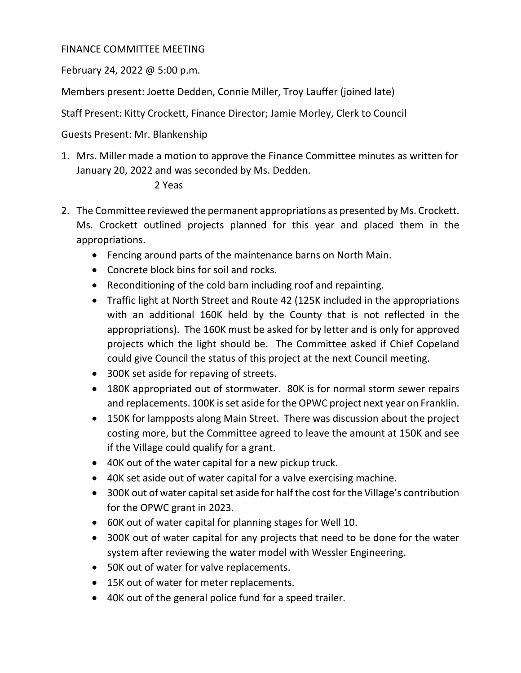## FINANCE COMMITTEE MEETING

February 24, 2022 @ 5:00 p.m.

Members present: Joette Dedden, Connie Miller, Troy Lauffer (joined late)

Staff Present: Kitty Crockett, Finance Director; Jamie Morley, Clerk to Council

Guests Present: Mr. Blankenship

1. Mrs. Miller made a motion to approve the Finance Committee minutes as written for January 20, 2022 and was seconded by Ms. Dedden.

## 2 Yeas

- 2. The Committee reviewed the permanent appropriations as presented by Ms. Crockett. Ms. Crockett outlined projects planned for this year and placed them in the appropriations.
	- Fencing around parts of the maintenance barns on North Main.
	- Concrete block bins for soil and rocks.
	- Reconditioning of the cold barn including roof and repainting.
	- Traffic light at North Street and Route 42 (125K included in the appropriations with an additional 160K held by the County that is not reflected in the appropriations). The 160K must be asked for by letter and is only for approved projects which the light should be. The Committee asked if Chief Copeland could give Council the status of this project at the next Council meeting.
	- 300K set aside for repaving of streets.
	- 180K appropriated out of stormwater. 80K is for normal storm sewer repairs and replacements. 100K is set aside for the OPWC project next year on Franklin.
	- 150K for lampposts along Main Street. There was discussion about the project costing more, but the Committee agreed to leave the amount at 150K and see if the Village could qualify for a grant.
	- 40K out of the water capital for a new pickup truck.
	- 40K set aside out of water capital for a valve exercising machine.
	- 300K out of water capital set aside for half the cost for the Village's contribution for the OPWC grant in 2023.
	- 60K out of water capital for planning stages for Well 10.
	- 300K out of water capital for any projects that need to be done for the water system after reviewing the water model with Wessler Engineering.
	- 50K out of water for valve replacements.
	- 15K out of water for meter replacements.
	- 40K out of the general police fund for a speed trailer.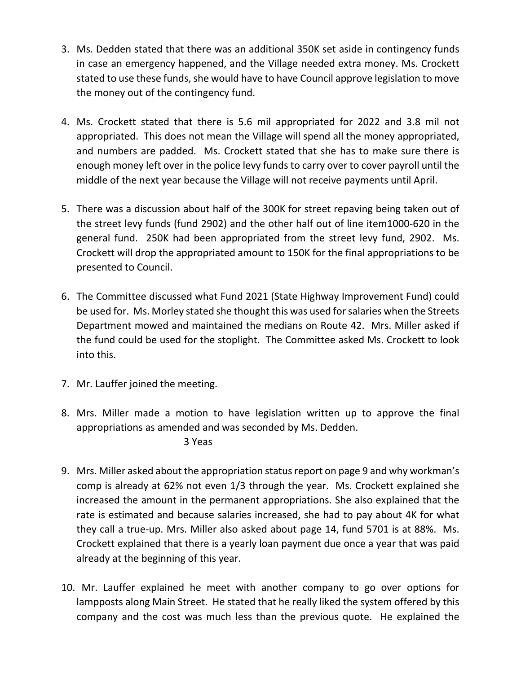- 3. Ms. Dedden stated that there was an additional 350K set aside in contingency funds in case an emergency happened, and the Village needed extra money. Ms. Crockett stated to use these funds, she would have to have Council approve legislation to move the money out of the contingency fund.
- 4. Ms. Crockett stated that there is 5.6 mil appropriated for 2022 and 3.8 mil not appropriated. This does not mean the Village will spend all the money appropriated, and numbers are padded. Ms. Crockett stated that she has to make sure there is enough money left over in the police levy funds to carry over to cover payroll until the middle of the next year because the Village will not receive payments until April.
- 5. There was a discussion about half of the 300K for street repaving being taken out of the street levy funds (fund 2902) and the other half out of line item1000‐620 in the general fund. 250K had been appropriated from the street levy fund, 2902. Ms. Crockett will drop the appropriated amount to 150K for the final appropriations to be presented to Council.
- 6. The Committee discussed what Fund 2021 (State Highway Improvement Fund) could be used for. Ms. Morley stated she thought this was used for salaries when the Streets Department mowed and maintained the medians on Route 42. Mrs. Miller asked if the fund could be used for the stoplight. The Committee asked Ms. Crockett to look into this.
- 7. Mr. Lauffer joined the meeting.
- 8. Mrs. Miller made a motion to have legislation written up to approve the final appropriations as amended and was seconded by Ms. Dedden.

3 Yeas

- 9. Mrs. Miller asked about the appropriation status report on page 9 and why workman's comp is already at 62% not even 1/3 through the year. Ms. Crockett explained she increased the amount in the permanent appropriations. She also explained that the rate is estimated and because salaries increased, she had to pay about 4K for what they call a true‐up. Mrs. Miller also asked about page 14, fund 5701 is at 88%. Ms. Crockett explained that there is a yearly loan payment due once a year that was paid already at the beginning of this year.
- 10. Mr. Lauffer explained he meet with another company to go over options for lampposts along Main Street. He stated that he really liked the system offered by this company and the cost was much less than the previous quote. He explained the